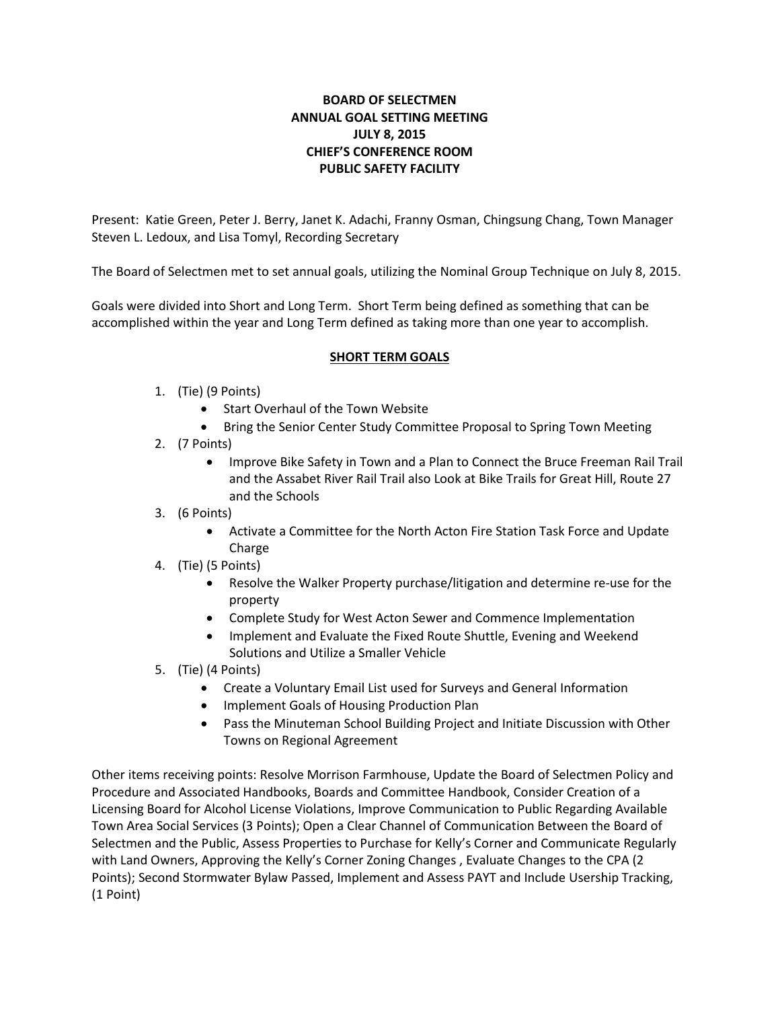# **BOARD OF SELECTMEN ANNUAL GOAL SETTING MEETING JULY 8, 2015 CHIEF'S CONFERENCE ROOM PUBLIC SAFETY FACILITY**

Present: Katie Green, Peter J. Berry, Janet K. Adachi, Franny Osman, Chingsung Chang, Town Manager Steven L. Ledoux, and Lisa Tomyl, Recording Secretary

The Board of Selectmen met to set annual goals, utilizing the Nominal Group Technique on July 8, 2015.

Goals were divided into Short and Long Term. Short Term being defined as something that can be accomplished within the year and Long Term defined as taking more than one year to accomplish.

## **SHORT TERM GOALS**

- 1. (Tie) (9 Points)
	- Start Overhaul of the Town Website
	- Bring the Senior Center Study Committee Proposal to Spring Town Meeting
- 2. (7 Points)
	- Improve Bike Safety in Town and a Plan to Connect the Bruce Freeman Rail Trail and the Assabet River Rail Trail also Look at Bike Trails for Great Hill, Route 27 and the Schools
- 3. (6 Points)
	- Activate a Committee for the North Acton Fire Station Task Force and Update Charge
- 4. (Tie) (5 Points)
	- Resolve the Walker Property purchase/litigation and determine re-use for the property
	- Complete Study for West Acton Sewer and Commence Implementation
	- Implement and Evaluate the Fixed Route Shuttle, Evening and Weekend Solutions and Utilize a Smaller Vehicle
- 5. (Tie) (4 Points)
	- Create a Voluntary Email List used for Surveys and General Information
	- Implement Goals of Housing Production Plan
	- Pass the Minuteman School Building Project and Initiate Discussion with Other Towns on Regional Agreement

Other items receiving points: Resolve Morrison Farmhouse, Update the Board of Selectmen Policy and Procedure and Associated Handbooks, Boards and Committee Handbook, Consider Creation of a Licensing Board for Alcohol License Violations, Improve Communication to Public Regarding Available Town Area Social Services (3 Points); Open a Clear Channel of Communication Between the Board of Selectmen and the Public, Assess Properties to Purchase for Kelly's Corner and Communicate Regularly with Land Owners, Approving the Kelly's Corner Zoning Changes , Evaluate Changes to the CPA (2 Points); Second Stormwater Bylaw Passed, Implement and Assess PAYT and Include Usership Tracking, (1 Point)